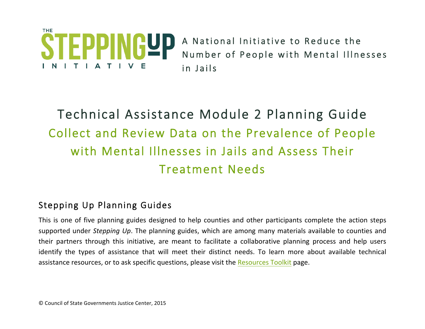

A National Initiative to Reduce the Number of People with Mental Illnesses in Jails

# Technical Assistance Module 2 Planning Guide Collect and Review Data on the Prevalence of People with Mental Illnesses in Jails and Assess Their Treatment Needs

# Stepping Up Planning Guides

This is one of five planning guides designed to help counties and other participants complete the action steps supported under Stepping Up. The planning guides, which are among many materials available to counties and their partners through this initiative, are meant to facilitate a collaborative planning process and help users identify the types of assistance that will meet their distinct needs. To learn more about available technical assistance resources, or to ask specific questions, please visit the Resources Toolkit page.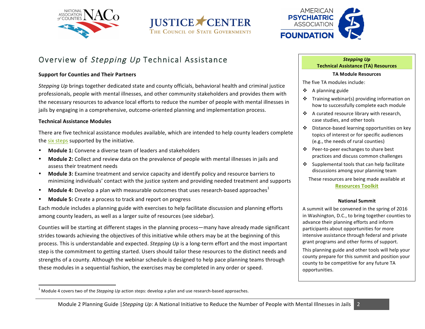





# Overview of Stepping Up Technical Assistance

#### **Support for Counties and Their Partners**

*Stepping* Up brings together dedicated state and county officials, behavioral health and criminal justice professionals, people with mental illnesses, and other community stakeholders and provides them with the necessary resources to advance local efforts to reduce the number of people with mental illnesses in jails by engaging in a comprehensive, outcome-oriented planning and implementation process.

#### **Technical Assistance Modules**

There are five technical assistance modules available, which are intended to help county leaders complete the six steps supported by the initiative.

- **Module 1:** Convene a diverse team of leaders and stakeholders
- **Module 2:** Collect and review data on the prevalence of people with mental illnesses in jails and assess their treatment needs
- **Module 3:** Examine treatment and service capacity and identify policy and resource barriers to minimizing individuals' contact with the justice system and providing needed treatment and supports
- **Module 4:** Develop a plan with measurable outcomes that uses research-based approaches<sup>1</sup>
- **Module 5:** Create a process to track and report on progress

Each module includes a planning guide with exercises to help facilitate discussion and planning efforts among county leaders, as well as a larger suite of resources (see sidebar).

Counties will be starting at different stages in the planning process—many have already made significant strides towards achieving the objectives of this initiative while others may be at the beginning of this process. This is understandable and expected. *Stepping Up* is a long-term effort and the most important step is the commitment to getting started. Users should tailor these resources to the distinct needs and strengths of a county. Although the webinar schedule is designed to help pace planning teams through these modules in a sequential fashion, the exercises may be completed in any order or speed.

#### **Stepping** Up **Technical Assistance (TA) Resources**

#### **TA Module Resources**

The five TA modules include:

- $\div$  A planning guide
- Training webinar(s) providing information on how to successfully complete each module
- ❖ A curated resource library with research, case studies, and other tools
- ❖ Distance-based learning opportunities on key topics of interest or for specific audiences (e.g., the needs of rural counties)
- ❖ Peer-to-peer exchanges to share best practices and discuss common challenges
- $\div$  Supplemental tools that can help facilitate discussions among your planning team

These resources are being made available at **[Resources Toolkit](http://stepuptogether.org/toolkit/)**

#### **National Summit**

A summit will be convened in the spring of 2016 in Washington, D.C., to bring together counties to advance their planning efforts and inform participants about opportunities for more intensive assistance through federal and private grant programs and other forms of support.

This planning guide and other tools will help your county prepare for this summit and position your county to be competitive for any future TA opportunities. 

Module 4 covers two of the *Stepping Up* action steps: develop a plan and use research-based approaches.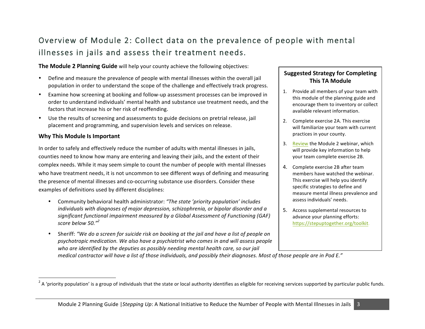# Overview of Module 2: Collect data on the prevalence of people with mental illnesses in jails and assess their treatment needs.

**The Module 2 Planning Guide** will help your county achieve the following objectives:

- Define and measure the prevalence of people with mental illnesses within the overall jail population in order to understand the scope of the challenge and effectively track progress.
- Examine how screening at booking and follow-up assessment processes can be improved in order to understand individuals' mental health and substance use treatment needs, and the factors that increase his or her risk of reoffending.
- Use the results of screening and assessments to guide decisions on pretrial release, jail placement and programming, and supervision levels and services on release.

### **Why This Module Is Important**

<u> 1989 - Jan Samuel Barbara, margaret e</u>

In order to safely and effectively reduce the number of adults with mental illnesses in jails, counties need to know how many are entering and leaving their jails, and the extent of their complex needs. While it may seem simple to count the number of people with mental illnesses who have treatment needs, it is not uncommon to see different ways of defining and measuring the presence of mental illnesses and co-occurring substance use disorders. Consider these examples of definitions used by different disciplines:

- Community behavioral health administrator: *"The state 'priority population' includes individuals* with diagnoses of major depression, schizophrenia, or bipolar disorder and a significant functional impairment measured by a Global Assessment of Functioning (GAF) *score below 50."<sup>2</sup>*
- Sheriff: "We do a screen for suicide risk on booking at the jail and have a list of people on psychotropic medication. We also have a psychiatrist who comes in and will assess people who are identified by the deputies as possibly needing mental health care, so our jail

### **Suggested Strategy for Completing This TA Module**

- 1. Provide all members of your team with this module of the planning guide and encourage them to inventory or collect available relevant information.
- 2. Complete exercise 2A. This exercise will familiarize your team with current practices in your county.
- 3. [Review](http://stepuptogether.org/toolkit/) the Module 2 webinar, which will provide key information to help your team complete exercise 2B.
- 4. Complete exercise 2B after team members have watched the webinar. This exercise will help you identify specific strategies to define and measure mental illness prevalence and assess individuals' needs.
- 5. Access supplemental resources to advance your planning efforts: [https://stepuptogether.org/toolkit.](http://stepuptogether.org/toolkit/)

*medical contractor will have a list of those individuals, and possibly their diagnoses. Most of those people are in Pod E."* 

 $^2$  A 'priority population' is a group of individuals that the state or local authority identifies as eligible for receiving services supported by particular public funds.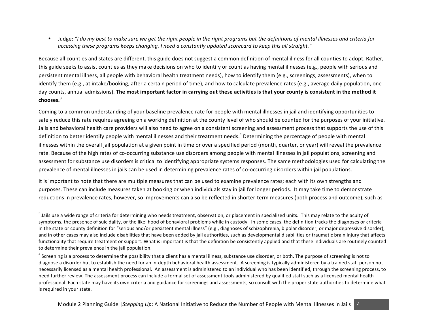• Judge: "I do my best to make sure we get the right people in the right programs but the definitions of mental illnesses and criteria for *accessing these programs keeps changing. I need a constantly updated scorecard to keep this all straight."*

Because all counties and states are different, this guide does not suggest a common definition of mental illness for all counties to adopt. Rather, this guide seeks to assist counties as they make decisions on who to identify or count as having mental illnesses (e.g., people with serious and persistent mental illness, all people with behavioral health treatment needs), how to identify them (e.g., screenings, assessments), when to identify them (e.g., at intake/booking, after a certain period of time), and how to calculate prevalence rates (e.g., average daily population, oneday counts, annual admissions). The most important factor in carrying out these activities is that your county is consistent in the method it **chooses.**<sup>3</sup>

Coming to a common understanding of your baseline prevalence rate for people with mental illnesses in jail and identifying opportunities to safely reduce this rate requires agreeing on a working definition at the county level of who should be counted for the purposes of your initiative. Jails and behavioral health care providers will also need to agree on a consistent screening and assessment process that supports the use of this definition to better identify people with mental illnesses and their treatment needs.<sup>4</sup> Determining the percentage of people with mental illnesses within the overall jail population at a given point in time or over a specified period (month, quarter, or year) will reveal the prevalence rate. Because of the high rates of co-occurring substance use disorders among people with mental illnesses in jail populations, screening and assessment for substance use disorders is critical to identifying appropriate systems responses. The same methodologies used for calculating the prevalence of mental illnesses in jails can be used in determining prevalence rates of co-occurring disorders within jail populations.

It is important to note that there are multiple measures that can be used to examine prevalence rates; each with its own strengths and purposes. These can include measures taken at booking or when individuals stay in jail for longer periods. It may take time to demonstrate reductions in prevalence rates, however, so improvements can also be reflected in shorter-term measures (both process and outcome), such as

<u> 1989 - Jan Samuel Barbara, margaret e</u>

<sup>&</sup>lt;sup>3</sup> Jails use a wide range of criteria for determining who needs treatment, observation, or placement in specialized units. This may relate to the acuity of symptoms, the presence of suicidality, or the likelihood of behavioral problems while in custody. In some cases, the definition tracks the diagnoses or criteria in the state or county definition for "serious and/or persistent mental illness" (e.g., diagnoses of schizophrenia, bipolar disorder, or major depressive disorder), and in other cases may also include disabilities that have been added by jail authorities, such as developmental disabilities or traumatic brain injury that affects functionality that require treatment or support. What is important is that the definition be consistently applied and that these individuals are routinely counted to determine their prevalence in the jail population.

 $4$  Screening is a process to determine the possibility that a client has a mental illness, substance use disorder, or both. The purpose of screening is not to diagnose a disorder but to establish the need for an in-depth behavioral health assessment. A screening is typically administered by a trained staff person not necessarily licensed as a mental health professional. An assessment is administered to an individual who has been identified, through the screening process, to need further review. The assessment process can include a formal set of assessment tools administered by qualified staff such as a licensed mental health professional. Each state may have its own criteria and guidance for screenings and assessments, so consult with the proper state authorities to determine what is required in your state.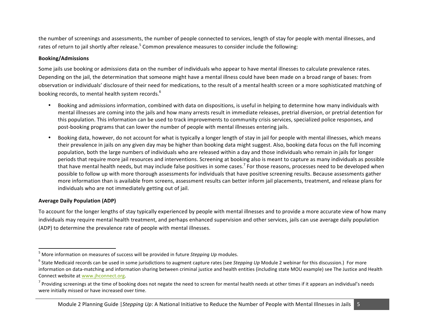the number of screenings and assessments, the number of people connected to services, length of stay for people with mental illnesses, and rates of return to jail shortly after release.<sup>5</sup> Common prevalence measures to consider include the following:

#### **Booking/Admissions**

Some jails use booking or admissions data on the number of individuals who appear to have mental illnesses to calculate prevalence rates. Depending on the jail, the determination that someone might have a mental illness could have been made on a broad range of bases: from observation or individuals' disclosure of their need for medications, to the result of a mental health screen or a more sophisticated matching of booking records, to mental health system records.<sup>6</sup>

- Booking and admissions information, combined with data on dispositions, is useful in helping to determine how many individuals with mental illnesses are coming into the jails and how many arrests result in immediate releases, pretrial diversion, or pretrial detention for this population. This information can be used to track improvements to community crisis services, specialized police responses, and post-booking programs that can lower the number of people with mental illnesses entering jails.
- Booking data, however, do not account for what is typically a longer length of stay in jail for people with mental illnesses, which means their prevalence in jails on any given day may be higher than booking data might suggest. Also, booking data focus on the full incoming population, both the large numbers of individuals who are released within a day and those individuals who remain in jails for longer periods that require more jail resources and interventions. Screening at booking also is meant to capture as many individuals as possible that have mental health needs, but may include false positives in some cases.<sup>7</sup> For those reasons, processes need to be developed when possible to follow up with more thorough assessments for individuals that have positive screening results. Because assessments gather more information than is available from screens, assessment results can better inform jail placements, treatment, and release plans for individuals who are not immediately getting out of jail.

#### **Average Daily Population (ADP)**

To account for the longer lengths of stay typically experienced by people with mental illnesses and to provide a more accurate view of how many individuals may require mental health treatment, and perhaps enhanced supervision and other services, jails can use average daily population (ADP) to determine the prevalence rate of people with mental illnesses.

<sup>&</sup>lt;sup>5</sup> More information on measures of success will be provided in future *Stepping Up* modules.

<sup>&</sup>lt;sup>6</sup> State Medicaid records can be used in some jurisdictions to augment capture rates (see Stepping Up Module 2 webinar for this discussion.) For more information on data-matching and information sharing between criminal justice and health entities (including state MOU example) see The Justice and Health Connect website at www.jhconnect.org.

 $^7$  Providing screenings at the time of booking does not negate the need to screen for mental health needs at other times if it appears an individual's needs were initially missed or have increased over time.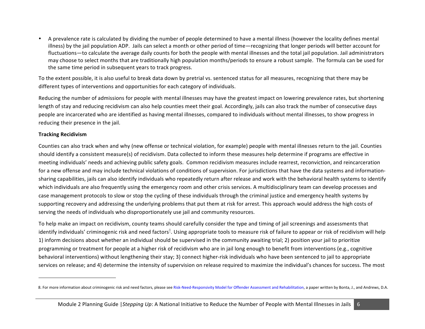A prevalence rate is calculated by dividing the number of people determined to have a mental illness (however the locality defines mental illness) by the jail population ADP. Jails can select a month or other period of time—recognizing that longer periods will better account for fluctuations—to calculate the average daily counts for both the people with mental illnesses and the total jail population. Jail administrators may choose to select months that are traditionally high population months/periods to ensure a robust sample. The formula can be used for the same time period in subsequent years to track progress.

To the extent possible, it is also useful to break data down by pretrial vs. sentenced status for all measures, recognizing that there may be different types of interventions and opportunities for each category of individuals.

Reducing the number of admissions for people with mental illnesses may have the greatest impact on lowering prevalence rates, but shortening length of stay and reducing recidivism can also help counties meet their goal. Accordingly, jails can also track the number of consecutive days people are incarcerated who are identified as having mental illnesses, compared to individuals without mental illnesses, to show progress in reducing their presence in the jail.

#### **Tracking Recidivism**

Counties can also track when and why (new offense or technical violation, for example) people with mental illnesses return to the jail. Counties should identify a consistent measure(s) of recidivism. Data collected to inform these measures help determine if programs are effective in meeting individuals' needs and achieving public safety goals. Common recidivism measures include rearrest, reconviction, and reincarceration for a new offense and may include technical violations of conditions of supervision. For jurisdictions that have the data systems and informationsharing capabilities, jails can also identify individuals who repeatedly return after release and work with the behavioral health systems to identify which individuals are also frequently using the emergency room and other crisis services. A multidisciplinary team can develop processes and case management protocols to slow or stop the cycling of these individuals through the criminal justice and emergency health systems by supporting recovery and addressing the underlying problems that put them at risk for arrest. This approach would address the high costs of serving the needs of individuals who disproportionately use jail and community resources.

To help make an impact on recidivism, county teams should carefully consider the type and timing of jail screenings and assessments that identify individuals' criminogenic risk and need factors ${}^{8}$ . Using appropriate tools to measure risk of failure to appear or risk of recidivism will help 1) inform decisions about whether an individual should be supervised in the community awaiting trial; 2) position your jail to prioritize programming or treatment for people at a higher risk of recidivism who are in jail long enough to benefit from interventions (e.g., cognitive behavioral interventions) without lengthening their stay; 3) connect higher-risk individuals who have been sentenced to jail to appropriate services on release; and 4) determine the intensity of supervision on release required to maximize the individual's chances for success. The most

<sup>8.</sup> For more information about criminogenic risk and need factors, [please see Risk-Need-Responsivity Model for Offender Assessment and Rehabilitation,](http://www.publicsafety.gc.ca/cnt/rsrcs/pblctns/rsk-nd-rspnsvty/rsk-nd-rspnsvty-eng.pdf) a paper written by Bonta, J., and Andrews, D.A.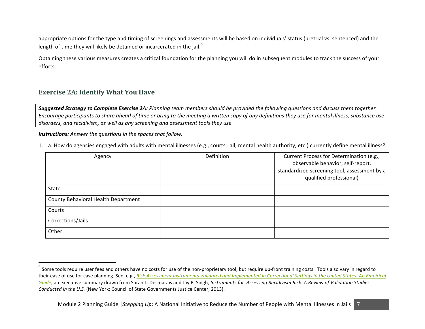appropriate options for the type and timing of screenings and assessments will be based on individuals' status (pretrial vs. sentenced) and the length of time they will likely be detained or incarcerated in the jail.<sup>9</sup>

Obtaining these various measures creates a critical foundation for the planning you will do in subsequent modules to track the success of your efforts. 

## **Exercise 2A: Identify What You Have**

<u> 1989 - Jan Samuel Barbara, margaret e</u>

**Suggested Strategy to Complete Exercise 2A:** Planning team members should be provided the following questions and discuss them together. Encourage participants to share ahead of time or bring to the meeting a written copy of any definitions they use for mental illness, substance use disorders, and recidivism, as well as any screening and assessment tools they use.

**Instructions:** Answer the questions in the spaces that follow.

1. a. How do agencies engaged with adults with mental illnesses (e.g., courts, jail, mental health authority, etc.) currently define mental illness?

| Agency                              | Definition | Current Process for Determination (e.g.,<br>observable behavior, self-report,<br>standardized screening tool, assessment by a<br>qualified professional) |
|-------------------------------------|------------|----------------------------------------------------------------------------------------------------------------------------------------------------------|
| State                               |            |                                                                                                                                                          |
| County Behavioral Health Department |            |                                                                                                                                                          |
| Courts                              |            |                                                                                                                                                          |
| Corrections/Jails                   |            |                                                                                                                                                          |
| Other                               |            |                                                                                                                                                          |

<sup>&</sup>lt;sup>9</sup> Some tools require user fees and others have no costs for use of the non-proprietary tool, but require up-front training costs. Tools also vary in regard to their ease of use for case planning. See, e.g., *Risk Assessment Instruments Validated and Implemented in Correctional Settings in the United States: An Empirical* [Guide](http://csgjusticecenter.org/wp-content/uploads/2014/07/Risk-Instruments-Guide.pdf), an executive summary drawn from Sarah L. Desmarais and Jay P. Singh, *Instruments for Assessing Recidivism Risk: A Review of Validation Studies Conducted in the U.S.* (New York: Council of State Governments Justice Center, 2013).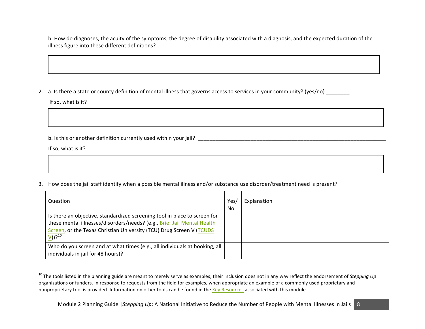b. How do diagnoses, the acuity of the symptoms, the degree of disability associated with a diagnosis, and the expected duration of the illness figure into these different definitions?

2. a. Is there a state or county definition of mental illness that governs access to services in your community? (yes/no)

If so, what is it?

b. Is this or another definition currently used within your jail?

If so, what is it?

 

3. How does the jail staff identify when a possible mental illness and/or substance use disorder/treatment need is present?

| Question                                                                                                                                                                                                                                             | Yes,<br>No | Explanation |
|------------------------------------------------------------------------------------------------------------------------------------------------------------------------------------------------------------------------------------------------------|------------|-------------|
| Is there an objective, standardized screening tool in place to screen for<br>these mental illnesses/disorders/needs? (e.g., Brief Jail Mental Health<br>Screen, or the Texas Christian University (TCU) Drug Screen V (TCUDS<br>$V)$ ? <sup>10</sup> |            |             |
| Who do you screen and at what times (e.g., all individuals at booking, all<br>individuals in jail for 48 hours)?                                                                                                                                     |            |             |

<sup>&</sup>lt;sup>10</sup> The tools listed in the planning guide are meant to merely serve as examples; their inclusion does not in any way reflect the endorsement of Stepping Up organizations or funders. In response to requests from the field for examples, when appropriate an example of a commonly used proprietary and nonproprietary tool is provided. Information on other tools can be found in the Key Resources associated with this module.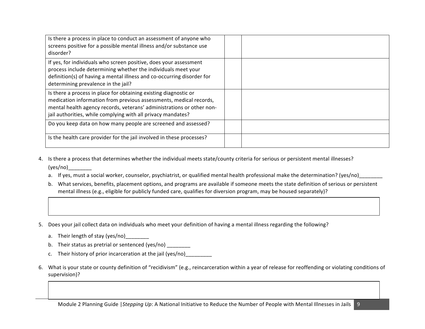| Is there a process in place to conduct an assessment of anyone who<br>screens positive for a possible mental illness and/or substance use<br>disorder?                                                                                                                          |  |
|---------------------------------------------------------------------------------------------------------------------------------------------------------------------------------------------------------------------------------------------------------------------------------|--|
| If yes, for individuals who screen positive, does your assessment<br>process include determining whether the individuals meet your<br>definition(s) of having a mental illness and co-occurring disorder for<br>determining prevalence in the jail?                             |  |
| Is there a process in place for obtaining existing diagnostic or<br>medication information from previous assessments, medical records,<br>mental health agency records, veterans' administrations or other non-<br>jail authorities, while complying with all privacy mandates? |  |
| Do you keep data on how many people are screened and assessed?                                                                                                                                                                                                                  |  |
| Is the health care provider for the jail involved in these processes?                                                                                                                                                                                                           |  |

- 4. Is there a process that determines whether the individual meets state/county criteria for serious or persistent mental illnesses? (yes/no)\_\_\_\_\_\_\_\_
	- a. If yes, must a social worker, counselor, psychiatrist, or qualified mental health professional make the determination? (yes/no)
	- b. What services, benefits, placement options, and programs are available if someone meets the state definition of serious or persistent mental illness (e.g., eligible for publicly funded care, qualifies for diversion program, may be housed separately)?
- 5. Does your jail collect data on individuals who meet your definition of having a mental illness regarding the following?
	- a. Their length of stay (yes/no)
	- b. Their status as pretrial or sentenced (yes/no)
	- c. Their history of prior incarceration at the jail (yes/no)
- 6. What is your state or county definition of "recidivism" (e.g., reincarceration within a year of release for reoffending or violating conditions of supervision)?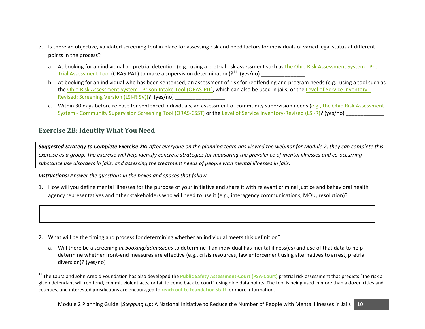- 7. Is there an objective, validated screening tool in place for assessing risk and need factors for individuals of varied legal status at different points in the process?
	- a. At booking for an individual on pretrial detention (e.g., using a pretrial risk assessment such as the Ohio Risk Assessment System Pre-Trial Assessment Tool (ORAS-PAT) to make a supervision determination)?<sup>11</sup> (yes/no)
	- b. At booking for an individual who has been sentenced, an assessment of risk for reoffending and program needs (e.g., using a tool such as the Ohio Risk Assessment System - Prison Intake Tool (ORAS-PIT), which can also be used in jails, or the Level of Service Inventory -Revised: Screening Version (LSI-R:SV))? (yes/no)
	- c. Within 30 days before release for sentenced individuals, an assessment of community supervision needs (e.g., the Ohio Risk Assessment System - Community Supervision Screening Tool (ORAS-CSST) or the Level of Service Inventory-Revised (LSI-R)? (yes/no)

# **Exercise 2B: Identify What You Need**

 

**Suggested Strategy to Complete Exercise 2B:** After everyone on the planning team has viewed the webinar for Module 2, they can complete this exercise as a group. The exercise will help identify concrete strategies for measuring the prevalence of mental illnesses and co-occurring substance use disorders in jails, and assessing the treatment needs of people with mental illnesses in jails.

**Instructions:** Answer the questions in the boxes and spaces that follow.

1. How will you define mental illnesses for the purpose of your initiative and share it with relevant criminal justice and behavioral health agency representatives and other stakeholders who will need to use it (e.g., interagency communications, MOU, resolution)?

- 2. What will be the timing and process for determining whether an individual meets this definition?
	- a. Will there be a screening at booking/admissions to determine if an individual has mental illness(es) and use of that data to help determine whether front-end measures are effective (e.g., crisis resources, law enforcement using alternatives to arrest, pretrial diversion)? (yes/no)

<sup>&</sup>lt;sup>11</sup> The Laura and John Arnold Foundation has also developed the Public Safety Assessment-Court (PSA-Court) pretrial risk assessment that predicts "the risk a given defendant will reoffend, commit violent acts, or fail to come back to court" using nine data points. The tool is being used in more than a dozen cities and counties, and interested jurisdictions are encouraged to reach out to foundation staff for more information.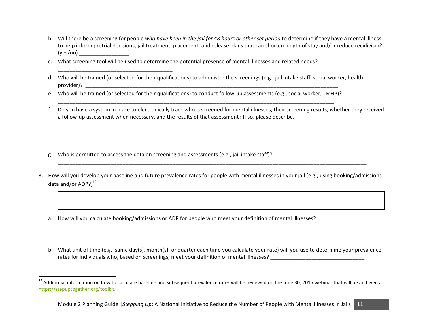- b. Will there be a screening for people who have been in the jail for 48 hours or other set period to determine if they have a mental illness to help inform pretrial decisions, jail treatment, placement, and release plans that can shorten length of stay and/or reduce recidivism?  $(yes/no)$
- c. What screening tool will be used to determine the potential presence of mental illnesses and related needs?
- d. Who will be trained (or selected for their qualifications) to administer the screenings (e.g., jail intake staff, social worker, health provider)? \_\_\_\_\_\_\_\_\_\_\_\_\_\_\_\_\_\_\_\_\_\_\_\_\_\_\_\_\_\_\_\_\_\_\_\_\_\_\_\_\_\_\_\_\_\_\_\_\_\_\_\_\_\_\_\_\_\_\_\_\_\_\_\_\_\_\_\_\_\_\_\_\_\_\_\_\_\_\_\_\_\_\_\_\_\_
- e. Who will be trained (or selected for their qualifications) to conduct follow-up assessments (e.g., social worker, LMHP)? \_\_\_\_\_\_\_\_\_\_\_\_\_\_\_\_\_\_\_\_\_\_\_\_\_\_\_\_\_\_\_\_\_\_\_\_\_\_\_\_\_\_\_\_\_\_\_\_\_\_\_\_\_\_\_\_\_\_\_\_\_\_\_\_\_\_\_\_\_\_\_\_\_\_\_\_\_\_\_\_\_\_\_\_\_\_\_\_\_\_\_\_\_\_
- f. Do you have a system in place to electronically track who is screened for mental illnesses, their screening results, whether they received a follow-up assessment when necessary, and the results of that assessment? If so, please describe.
- g. Who is permitted to access the data on screening and assessments (e.g., jail intake staff)?

\_\_\_\_\_\_\_\_\_\_\_\_\_\_\_\_\_\_\_\_\_\_\_\_\_\_\_\_\_\_\_\_\_\_\_\_\_\_\_ 

 

3. How will you develop your baseline and future prevalence rates for people with mental illnesses in your jail (e.g., using booking/admissions data and/or ADP? $)^{12}$ 

\_\_\_\_\_\_\_\_\_\_\_\_\_\_\_\_\_\_\_\_\_\_\_\_\_\_\_\_\_\_\_\_\_\_\_\_\_\_\_\_\_\_\_\_\_\_\_\_\_\_\_\_\_\_\_\_\_\_\_\_\_\_\_\_\_\_\_\_\_\_\_\_\_\_\_\_\_\_\_\_\_\_\_\_\_\_\_\_\_\_\_\_\_\_\_\_\_\_\_\_\_\_\_\_\_

- a. How will you calculate booking/admissions or ADP for people who meet your definition of mental illnesses?
- b. What unit of time (e.g., same day(s), month(s), or quarter each time you calculate your rate) will you use to determine your prevalence rates for individuals who, based on screenings, meet your definition of mental illnesses? \_\_\_\_\_\_\_\_\_\_\_\_\_\_\_\_\_\_\_\_\_\_\_\_\_\_\_\_\_\_\_\_

 $12$  Additional information on how to calculate baseline and subsequent prevalence rates will be reviewed on the June 30, 2015 webinar that will be archived at [https://stepuptogether.org/toolkit](http://www.mhs.com/product.aspx?gr=saf&prod=lsi-r&id=overview).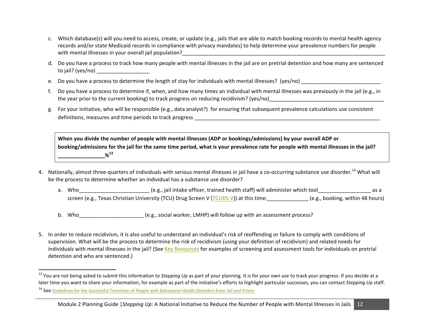- c. Which database(s) will you need to access, create, or update (e.g., jails that are able to match booking records to mental health agency records and/or state Medicaid records in compliance with privacy mandates) to help determine your prevalence numbers for people with mental illnesses in your overall jail population?
- d. Do you have a process to track how many people with mental illnesses in the jail are on pretrial detention and how many are sentenced to jail? (yes/no) \_\_\_\_\_\_\_\_\_\_\_\_\_\_\_\_\_\_
- e. Do you have a process to determine the length of stay for individuals with mental illnesses? (yes/no) \_\_\_\_\_\_\_\_\_\_\_\_\_\_\_\_\_\_\_\_\_\_\_\_\_\_\_\_\_\_
- f. Do you have a process to determine if, when, and how many times an individual with mental illnesses was previously in the jail (e.g., in the year prior to the current booking) to track progress on reducing recidivism? (yes/no)
- g. For your initiative, who will be responsible (e.g., data analyst?) for ensuring that subsequent prevalence calculations use consistent definitions, measures and time periods to track progress \_\_\_\_\_\_\_\_\_\_\_\_\_\_\_\_\_\_\_\_\_\_\_\_\_\_\_\_\_\_\_\_\_\_\_\_\_\_\_\_\_\_\_\_\_\_\_\_\_\_\_\_\_\_\_\_\_\_\_\_\_\_\_

When you divide the number of people with mental illnesses (ADP or bookings/admissions) by your overall ADP or booking/admissions for the jail for the same time period, what is your prevalence rate for people with mental illnesses in the jail? **\_\_\_\_\_\_\_\_\_\_\_\_\_\_\_\_%<sup>13</sup>**

- 4. Nationally, almost three-quarters of individuals with serious mental illnesses in jail have a co-occurring substance use disorder.<sup>14</sup> What will be the process to determine whether an individual has a substance use disorder?
	- a. Who setcome the state officer, trained health staff) will administer which tool as a same of the state of intrake officer, trained health staff) will administer which tool screen (e.g., Texas Christian University (TCU) Drug Screen V (TCUDS V)) at this time: (e.g., booking, within 48 hours)
	- b. Who  $(e.g., social worker, LMHP)$  will follow up with an assessment process?
- 5. In order to reduce recidivism, it is also useful to understand an individual's risk of reoffending or failure to comply with conditions of supervision. What will be the process to determine the risk of recidivism (using your definition of recidivism) and related needs for individuals with mental illnesses in the jail? (See Key Resources for examples of screening and assessment tools for individuals on pretrial detention and who are sentenced.)

<u> 1989 - Jan Samuel Barbara, margaret e</u>

<sup>&</sup>lt;sup>13</sup> You are not being asked to submit this information to *Stepping Up* as part of your planning. It is for your own use to track your progress. If you decide at a later time you want to share your information, for example as part of the initiative's efforts to highlight particular successes, you can contact *Stepping Up* staff.

<sup>&</sup>lt;sup>14</sup> See Guidelines for the Successful Transition of People with Behavioral Health Disorders from Jail and Prison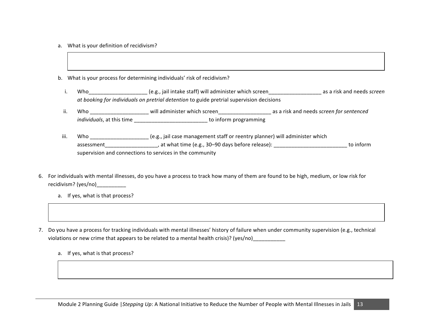- a. What is your definition of recidivism?
- b. What is your process for determining individuals' risk of recidivism?
	- i. Who\_\_\_\_\_\_\_\_\_\_\_\_\_\_\_\_\_\_\_\_\_\_\_\_\_(e.g., jail intake staff) will administer which screen\_\_\_\_\_\_\_\_\_\_\_\_\_\_\_\_\_\_\_\_\_\_\_\_\_\_ as a risk and needs screen *at booking for individuals on pretrial detention* to guide pretrial supervision decisions
	- ii. Who \_\_\_\_\_\_\_\_\_\_\_\_\_\_\_\_\_\_\_\_\_\_ will administer which screen\_\_\_\_\_\_\_\_\_\_\_\_\_\_\_\_\_\_\_\_\_\_\_\_\_\_ as a risk and needs *screen for sentenced individuals*, at this time \_\_\_\_\_\_\_\_\_\_\_\_\_\_\_\_\_\_\_\_\_\_\_\_\_\_\_\_\_\_\_\_ to inform programming
- iii. Who \_\_\_\_\_\_\_\_\_\_\_\_\_\_\_\_\_\_\_\_\_ (e.g., jail case management staff or reentry planner) will administer which assessment\_\_\_\_\_\_\_\_\_\_\_\_\_\_\_\_\_\_, at what time (e.g., 30–90 days before release): \_\_\_\_\_\_\_\_\_\_\_\_\_\_\_\_\_\_\_\_\_\_\_\_\_\_\_\_\_ to inform supervision and connections to services in the community
- 6. For individuals with mental illnesses, do you have a process to track how many of them are found to be high, medium, or low risk for recidivism? (yes/no)
	- a. If yes, what is that process?
- 7. Do you have a process for tracking individuals with mental illnesses' history of failure when under community supervision (e.g., technical violations or new crime that appears to be related to a mental health crisis)? (yes/no)
	- a. If yes, what is that process?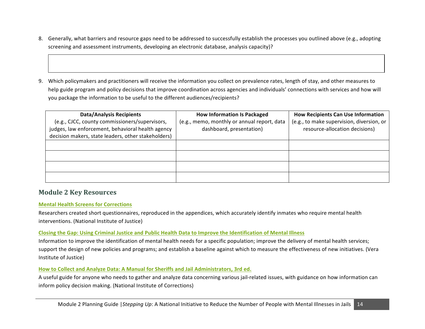- 8. Generally, what barriers and resource gaps need to be addressed to successfully establish the processes you outlined above (e.g., adopting screening and assessment instruments, developing an electronic database, analysis capacity)?
- 9. Which policymakers and practitioners will receive the information you collect on prevalence rates, length of stay, and other measures to help guide program and policy decisions that improve coordination across agencies and individuals' connections with services and how will you package the information to be useful to the different audiences/recipients?

| <b>Data/Analysis Recipients</b>                     | <b>How Information Is Packaged</b>          | <b>How Recipients Can Use Information</b> |
|-----------------------------------------------------|---------------------------------------------|-------------------------------------------|
| (e.g., CJCC, county commissioners/supervisors,      | (e.g., memo, monthly or annual report, data | (e.g., to make supervision, diversion, or |
| judges, law enforcement, behavioral health agency   | dashboard, presentation)                    | resource-allocation decisions)            |
| decision makers, state leaders, other stakeholders) |                                             |                                           |
|                                                     |                                             |                                           |
|                                                     |                                             |                                           |
|                                                     |                                             |                                           |
|                                                     |                                             |                                           |
|                                                     |                                             |                                           |
|                                                     |                                             |                                           |

### **Module 2 Key Resources**

#### **Mental Health Screens for Corrections**

Researchers created short questionnaires, reproduced in the appendices, which accurately identify inmates who require mental health interventions. (National Institute of Justice)

#### **Closing the Gap: Using Criminal Justice and Public Health Data to Improve the Identification of Mental Illness**

Information to improve the identification of mental health needs for a specific population; improve the delivery of mental health services; support the design of new policies and programs; and establish a baseline against which to measure the effectiveness of new initiatives. (Vera Institute of Justice)

#### How to Collect and Analyze Data: A Manual for Sheriffs and Jail Administrators, 3rd ed.

A useful guide for anyone who needs to gather and analyze data concerning various jail-related issues, with guidance on how information can inform policy decision making. (National Institute of Corrections)